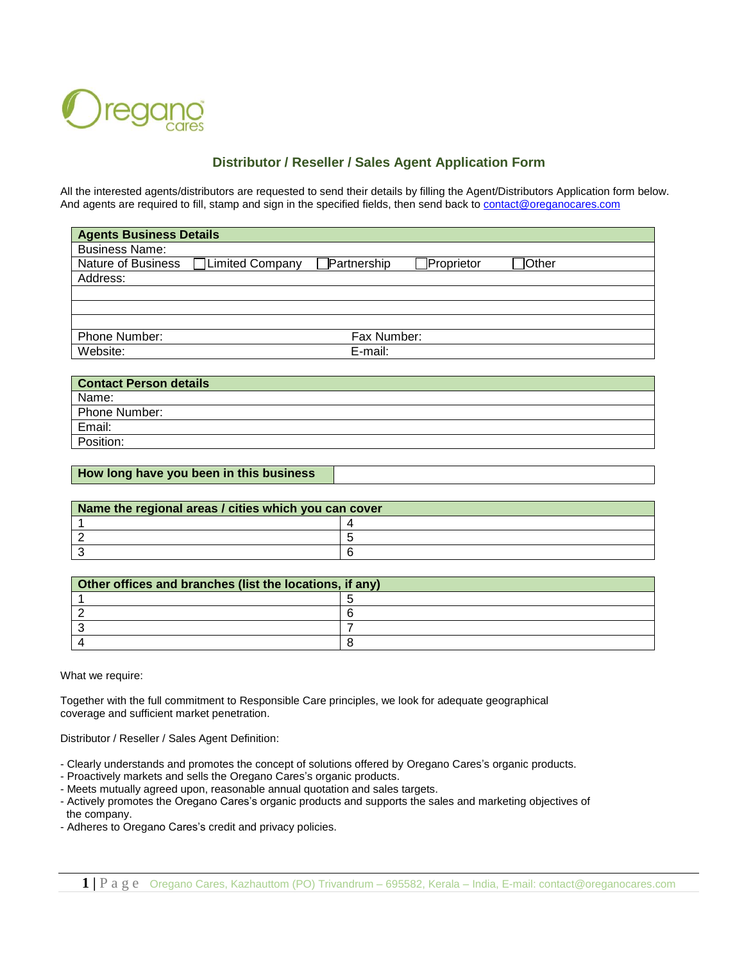

## **Distributor / Reseller / Sales Agent Application Form**

All the interested agents/distributors are requested to send their details by filling the Agent/Distributors Application form below. And agents are required to fill, stamp and sign in the specified fields, then send back to [contact@oreganocares.com](mailto:contact@oreganocares.com)

| <b>Agents Business Details</b> |                        |             |            |                 |  |
|--------------------------------|------------------------|-------------|------------|-----------------|--|
| <b>Business Name:</b>          |                        |             |            |                 |  |
| Nature of Business             | <b>Limited Company</b> | Partnership | Proprietor | $\exists$ Other |  |
| Address:                       |                        |             |            |                 |  |
|                                |                        |             |            |                 |  |
|                                |                        |             |            |                 |  |
|                                |                        |             |            |                 |  |
| Phone Number:                  |                        | Fax Number: |            |                 |  |
| Website:                       |                        | E-mail:     |            |                 |  |

| <b>Contact Person details</b> |
|-------------------------------|
| Name:                         |
| Phone Number:                 |
| Email:                        |
| Position:                     |

## **How long have you been in this business**

| Name the regional areas / cities which you can cover |  |  |  |  |
|------------------------------------------------------|--|--|--|--|
|                                                      |  |  |  |  |
|                                                      |  |  |  |  |
|                                                      |  |  |  |  |

| Other offices and branches (list the locations, if any) |  |  |  |
|---------------------------------------------------------|--|--|--|
|                                                         |  |  |  |
|                                                         |  |  |  |
|                                                         |  |  |  |
|                                                         |  |  |  |

What we require:

Together with the full commitment to Responsible Care principles, we look for adequate geographical coverage and sufficient market penetration.

Distributor / Reseller / Sales Agent Definition:

- Clearly understands and promotes the concept of solutions offered by Oregano Cares's organic products.
- Proactively markets and sells the Oregano Cares's organic products.
- Meets mutually agreed upon, reasonable annual quotation and sales targets.
- Actively promotes the Oregano Cares's organic products and supports the sales and marketing objectives of the company.
- Adheres to Oregano Cares's credit and privacy policies.